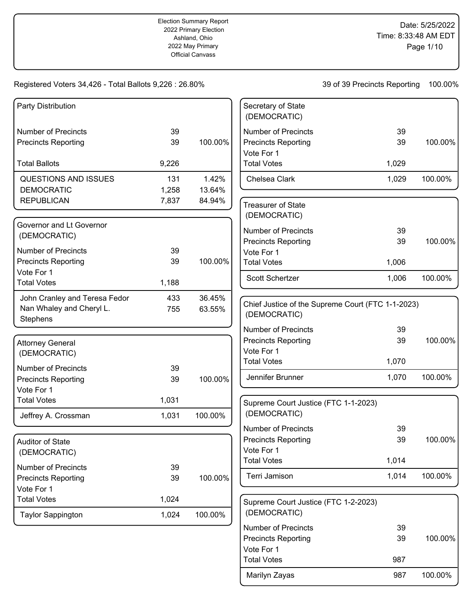Date: 5/25/2022 Time: 8:33:48 AM EDT Page 1/10

| Party Distribution                   |       |         | Secretary of State<br>(DEMOCRATIC)                                |       |         |
|--------------------------------------|-------|---------|-------------------------------------------------------------------|-------|---------|
| <b>Number of Precincts</b>           | 39    |         | <b>Number of Precincts</b>                                        | 39    |         |
| <b>Precincts Reporting</b>           | 39    | 100.00% | <b>Precincts Reporting</b><br>Vote For 1                          | 39    | 100.00% |
| <b>Total Ballots</b>                 | 9,226 |         | <b>Total Votes</b>                                                | 1,029 |         |
| <b>QUESTIONS AND ISSUES</b>          | 131   | 1.42%   | Chelsea Clark                                                     | 1,029 | 100.00% |
| <b>DEMOCRATIC</b>                    | 1,258 | 13.64%  |                                                                   |       |         |
| <b>REPUBLICAN</b>                    | 7,837 | 84.94%  | <b>Treasurer of State</b><br>(DEMOCRATIC)                         |       |         |
| Governor and Lt Governor             |       |         | <b>Number of Precincts</b>                                        | 39    |         |
| (DEMOCRATIC)                         |       |         | <b>Precincts Reporting</b>                                        | 39    | 100.00% |
| <b>Number of Precincts</b>           | 39    |         | Vote For 1                                                        |       |         |
| <b>Precincts Reporting</b>           | 39    | 100.00% | <b>Total Votes</b>                                                | 1,006 |         |
| Vote For 1<br><b>Total Votes</b>     | 1,188 |         | Scott Schertzer                                                   | 1,006 | 100.00% |
| John Cranley and Teresa Fedor        | 433   | 36.45%  |                                                                   |       |         |
| Nan Whaley and Cheryl L.<br>Stephens | 755   | 63.55%  | Chief Justice of the Supreme Court (FTC 1-1-2023)<br>(DEMOCRATIC) |       |         |
|                                      |       |         | <b>Number of Precincts</b>                                        | 39    |         |
| <b>Attorney General</b>              |       |         | <b>Precincts Reporting</b>                                        | 39    | 100.00% |
| (DEMOCRATIC)                         |       |         | Vote For 1                                                        |       |         |
|                                      |       |         | <b>Total Votes</b>                                                | 1,070 |         |
| <b>Number of Precincts</b>           | 39    |         | Jennifer Brunner                                                  | 1,070 | 100.00% |
| <b>Precincts Reporting</b>           | 39    | 100.00% |                                                                   |       |         |
| Vote For 1<br><b>Total Votes</b>     | 1,031 |         |                                                                   |       |         |
|                                      |       |         | Supreme Court Justice (FTC 1-1-2023)<br>(DEMOCRATIC)              |       |         |
| Jeffrey A. Crossman                  | 1,031 | 100.00% | <b>Number of Precincts</b>                                        | 39    |         |
|                                      |       |         | <b>Precincts Reporting</b>                                        | 39    | 100.00% |
| Auditor of State                     |       |         | Vote For 1                                                        |       |         |
| (DEMOCRATIC)                         |       |         | <b>Total Votes</b>                                                | 1,014 |         |
| <b>Number of Precincts</b>           | 39    |         |                                                                   |       |         |
| <b>Precincts Reporting</b>           | 39    | 100.00% | Terri Jamison                                                     | 1,014 | 100.00% |
| Vote For 1                           |       |         |                                                                   |       |         |
| <b>Total Votes</b>                   | 1,024 |         | Supreme Court Justice (FTC 1-2-2023)                              |       |         |
| <b>Taylor Sappington</b>             | 1,024 | 100.00% | (DEMOCRATIC)                                                      |       |         |
|                                      |       |         | <b>Number of Precincts</b>                                        | 39    |         |
|                                      |       |         | <b>Precincts Reporting</b>                                        | 39    | 100.00% |
|                                      |       |         | Vote For 1                                                        |       |         |
|                                      |       |         | <b>Total Votes</b>                                                | 987   |         |
|                                      |       |         | Marilyn Zayas                                                     | 987   | 100.00% |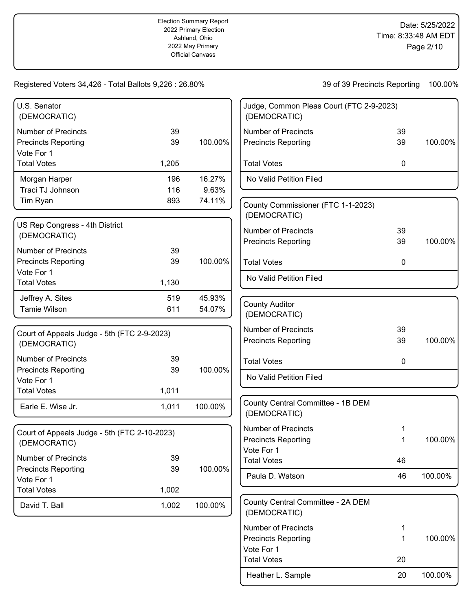Heather L. Sample 20 100.00%

| U.S. Senator<br>(DEMOCRATIC)                             |          |         | Judge, Common Pleas Court (FTC 2-9-2023)<br>(DEMOCRATIC) |             |         |
|----------------------------------------------------------|----------|---------|----------------------------------------------------------|-------------|---------|
| <b>Number of Precincts</b>                               | 39       |         | <b>Number of Precincts</b>                               | 39          |         |
| <b>Precincts Reporting</b><br>Vote For 1                 | 39       | 100.00% | <b>Precincts Reporting</b>                               | 39          | 100.00% |
| <b>Total Votes</b>                                       | 1,205    |         | <b>Total Votes</b>                                       | 0           |         |
| Morgan Harper                                            | 196      | 16.27%  | No Valid Petition Filed                                  |             |         |
| Traci TJ Johnson                                         | 116      | 9.63%   |                                                          |             |         |
| Tim Ryan                                                 | 893      | 74.11%  | County Commissioner (FTC 1-1-2023)<br>(DEMOCRATIC)       |             |         |
| US Rep Congress - 4th District                           |          |         |                                                          |             |         |
| (DEMOCRATIC)                                             |          |         | <b>Number of Precincts</b>                               | 39          |         |
|                                                          |          |         | <b>Precincts Reporting</b>                               | 39          | 100.00% |
| <b>Number of Precincts</b><br><b>Precincts Reporting</b> | 39<br>39 | 100.00% | <b>Total Votes</b>                                       | 0           |         |
| Vote For 1<br><b>Total Votes</b>                         | 1,130    |         | No Valid Petition Filed                                  |             |         |
| Jeffrey A. Sites                                         | 519      | 45.93%  |                                                          |             |         |
| <b>Tamie Wilson</b>                                      | 611      | 54.07%  | <b>County Auditor</b><br>(DEMOCRATIC)                    |             |         |
| Court of Appeals Judge - 5th (FTC 2-9-2023)              |          |         | <b>Number of Precincts</b>                               | 39          |         |
| (DEMOCRATIC)                                             |          |         | <b>Precincts Reporting</b>                               | 39          | 100.00% |
| <b>Number of Precincts</b>                               | 39       |         | <b>Total Votes</b>                                       | $\mathbf 0$ |         |
| <b>Precincts Reporting</b>                               | 39       | 100.00% | No Valid Petition Filed                                  |             |         |
| Vote For 1                                               |          |         |                                                          |             |         |
| <b>Total Votes</b>                                       | 1,011    |         |                                                          |             |         |
| Earle E. Wise Jr.                                        | 1,011    | 100.00% | County Central Committee - 1B DEM<br>(DEMOCRATIC)        |             |         |
| Court of Appeals Judge - 5th (FTC 2-10-2023)             |          |         | <b>Number of Precincts</b>                               | 1           |         |
| (DEMOCRATIC)                                             |          |         | <b>Precincts Reporting</b>                               | 1           | 100.00% |
|                                                          |          |         | Vote For 1                                               |             |         |
| <b>Number of Precincts</b>                               | 39       |         | <b>Total Votes</b>                                       | 46          |         |
| <b>Precincts Reporting</b>                               | 39       | 100.00% | Paula D. Watson                                          | 46          | 100.00% |
| Vote For 1<br><b>Total Votes</b>                         | 1,002    |         |                                                          |             |         |
|                                                          |          |         |                                                          |             |         |
| David T. Ball                                            | 1,002    | 100.00% | County Central Committee - 2A DEM<br>(DEMOCRATIC)        |             |         |
|                                                          |          |         | <b>Number of Precincts</b>                               | 1           |         |
|                                                          |          |         | <b>Precincts Reporting</b>                               | 1           | 100.00% |
|                                                          |          |         | Vote For 1                                               |             |         |
|                                                          |          |         | <b>Total Votes</b>                                       | 20          |         |
|                                                          |          |         |                                                          |             |         |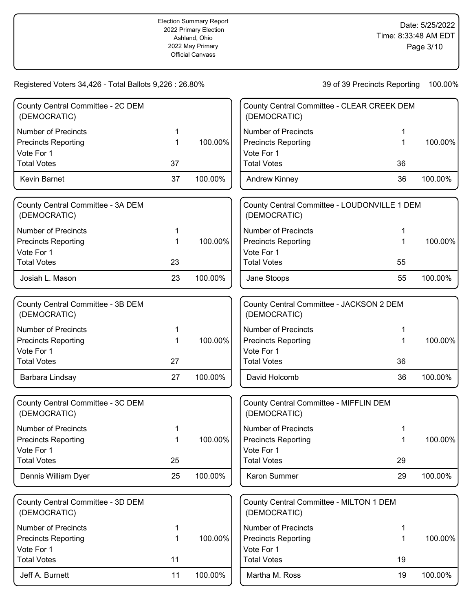| County Central Committee - 2C DEM<br>(DEMOCRATIC) |             |         | County Central Committee - CLEAR CREEK DEM<br>(DEMOCRATIC)   |    |         |
|---------------------------------------------------|-------------|---------|--------------------------------------------------------------|----|---------|
| <b>Number of Precincts</b>                        | 1           |         | <b>Number of Precincts</b>                                   | 1  |         |
| <b>Precincts Reporting</b>                        | 1           | 100.00% | <b>Precincts Reporting</b>                                   | 1  | 100.00% |
| Vote For 1                                        |             |         | Vote For 1                                                   |    |         |
| <b>Total Votes</b>                                | 37          |         | <b>Total Votes</b>                                           | 36 |         |
| Kevin Barnet                                      | 37          | 100.00% | <b>Andrew Kinney</b>                                         | 36 | 100.00% |
| County Central Committee - 3A DEM<br>(DEMOCRATIC) |             |         | County Central Committee - LOUDONVILLE 1 DEM<br>(DEMOCRATIC) |    |         |
| <b>Number of Precincts</b>                        | 1           |         | <b>Number of Precincts</b>                                   | 1  |         |
| <b>Precincts Reporting</b>                        | 1           | 100.00% | <b>Precincts Reporting</b>                                   | 1  | 100.00% |
| Vote For 1                                        |             |         | Vote For 1                                                   |    |         |
| <b>Total Votes</b>                                | 23          |         | <b>Total Votes</b>                                           | 55 |         |
| Josiah L. Mason                                   | 23          | 100.00% | Jane Stoops                                                  | 55 | 100.00% |
| County Central Committee - 3B DEM<br>(DEMOCRATIC) |             |         | County Central Committee - JACKSON 2 DEM<br>(DEMOCRATIC)     |    |         |
| <b>Number of Precincts</b>                        | 1           |         | <b>Number of Precincts</b>                                   | 1  |         |
| <b>Precincts Reporting</b>                        | 1           | 100.00% | <b>Precincts Reporting</b>                                   | 1  | 100.00% |
| Vote For 1                                        |             |         | Vote For 1                                                   |    |         |
| <b>Total Votes</b>                                | 27          |         | <b>Total Votes</b>                                           | 36 |         |
| Barbara Lindsay                                   | 27          | 100.00% | David Holcomb                                                | 36 | 100.00% |
| County Central Committee - 3C DEM<br>(DEMOCRATIC) |             |         | County Central Committee - MIFFLIN DEM<br>(DEMOCRATIC)       |    |         |
| <b>Number of Precincts</b>                        |             |         | <b>Number of Precincts</b>                                   |    |         |
| <b>Precincts Reporting</b>                        |             | 100.00% | <b>Precincts Reporting</b>                                   |    | 100.00% |
| Vote For 1                                        |             |         | Vote For 1                                                   |    |         |
| <b>Total Votes</b>                                | 25          |         | <b>Total Votes</b>                                           | 29 |         |
| Dennis William Dyer                               | 25          | 100.00% | Karon Summer                                                 | 29 | 100.00% |
| County Central Committee - 3D DEM<br>(DEMOCRATIC) |             |         | County Central Committee - MILTON 1 DEM<br>(DEMOCRATIC)      |    |         |
| <b>Number of Precincts</b>                        | 1           |         | <b>Number of Precincts</b>                                   | 1  |         |
| <b>Precincts Reporting</b>                        | $\mathbf 1$ | 100.00% | <b>Precincts Reporting</b>                                   | 1  | 100.00% |
| Vote For 1                                        |             |         | Vote For 1                                                   |    |         |
| <b>Total Votes</b>                                | 11          |         | <b>Total Votes</b>                                           | 19 |         |
| Jeff A. Burnett                                   | 11          | 100.00% | Martha M. Ross                                               | 19 | 100.00% |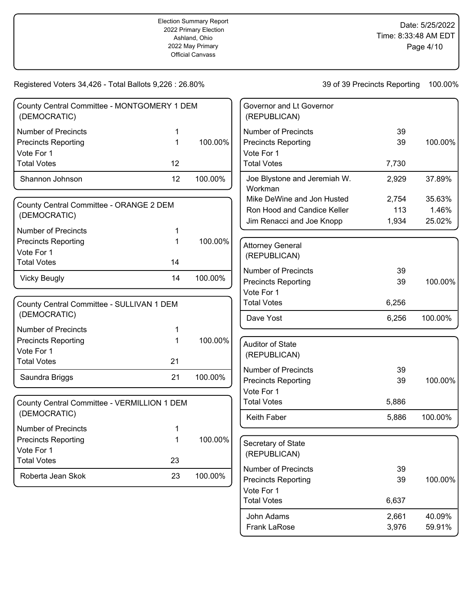Frank LaRose 3,976 59.91%

| County Central Committee - MONTGOMERY 1 DEM<br>(DEMOCRATIC)                                  |              |         | Governor and Lt Governor<br>(REPUBLICAN)                                                     |                       |                           |
|----------------------------------------------------------------------------------------------|--------------|---------|----------------------------------------------------------------------------------------------|-----------------------|---------------------------|
| <b>Number of Precincts</b><br><b>Precincts Reporting</b><br>Vote For 1                       | 1<br>1       | 100.00% | <b>Number of Precincts</b><br><b>Precincts Reporting</b><br>Vote For 1                       | 39<br>39              | 100.00%                   |
| <b>Total Votes</b>                                                                           | 12           |         | <b>Total Votes</b>                                                                           | 7,730                 |                           |
| Shannon Johnson                                                                              | 12           | 100.00% | Joe Blystone and Jeremiah W.<br>Workman                                                      | 2,929                 | 37.89%                    |
| County Central Committee - ORANGE 2 DEM<br>(DEMOCRATIC)                                      |              |         | Mike DeWine and Jon Husted<br>Ron Hood and Candice Keller<br>Jim Renacci and Joe Knopp       | 2,754<br>113<br>1,934 | 35.63%<br>1.46%<br>25.02% |
| <b>Number of Precincts</b><br><b>Precincts Reporting</b><br>Vote For 1                       | 1            | 100.00% | <b>Attorney General</b><br>(REPUBLICAN)                                                      |                       |                           |
| <b>Total Votes</b><br><b>Vicky Beugly</b>                                                    | 14<br>14     | 100.00% | <b>Number of Precincts</b><br><b>Precincts Reporting</b><br>Vote For 1                       | 39<br>39              | 100.00%                   |
| County Central Committee - SULLIVAN 1 DEM<br>(DEMOCRATIC)                                    |              |         | <b>Total Votes</b><br>Dave Yost                                                              | 6,256<br>6,256        | 100.00%                   |
| <b>Number of Precincts</b><br><b>Precincts Reporting</b><br>Vote For 1<br><b>Total Votes</b> | 1<br>1<br>21 | 100.00% | <b>Auditor of State</b><br>(REPUBLICAN)                                                      |                       |                           |
| Saundra Briggs                                                                               | 21           | 100.00% | <b>Number of Precincts</b><br><b>Precincts Reporting</b><br>Vote For 1                       | 39<br>39              | 100.00%                   |
| County Central Committee - VERMILLION 1 DEM<br>(DEMOCRATIC)                                  |              |         | <b>Total Votes</b><br>Keith Faber                                                            | 5,886<br>5,886        | 100.00%                   |
| <b>Number of Precincts</b><br><b>Precincts Reporting</b><br>Vote For 1<br><b>Total Votes</b> | 23           | 100.00% | Secretary of State<br>(REPUBLICAN)                                                           |                       |                           |
| Roberta Jean Skok                                                                            | 23           | 100.00% | <b>Number of Precincts</b><br><b>Precincts Reporting</b><br>Vote For 1<br><b>Total Votes</b> | 39<br>39<br>6,637     | 100.00%                   |
|                                                                                              |              |         | John Adams                                                                                   | 2,661                 | 40.09%                    |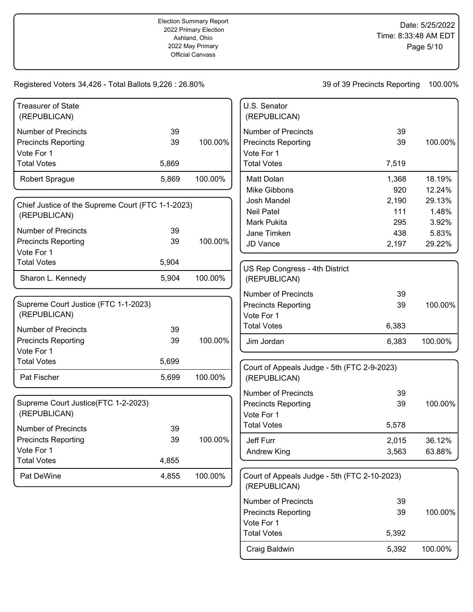| <b>Treasurer of State</b><br>(REPUBLICAN)         |       |         | U.S. Senator<br>(REPUBLICAN)                                 |       |         |
|---------------------------------------------------|-------|---------|--------------------------------------------------------------|-------|---------|
| <b>Number of Precincts</b>                        | 39    |         | <b>Number of Precincts</b>                                   | 39    |         |
| <b>Precincts Reporting</b>                        | 39    | 100.00% | <b>Precincts Reporting</b>                                   | 39    | 100.00% |
| Vote For 1                                        |       |         | Vote For 1                                                   |       |         |
| <b>Total Votes</b>                                | 5,869 |         | <b>Total Votes</b>                                           | 7,519 |         |
| <b>Robert Sprague</b>                             | 5,869 | 100.00% | Matt Dolan                                                   | 1,368 | 18.19%  |
|                                                   |       |         | Mike Gibbons                                                 | 920   | 12.24%  |
| Chief Justice of the Supreme Court (FTC 1-1-2023) |       |         | Josh Mandel                                                  | 2,190 | 29.13%  |
| (REPUBLICAN)                                      |       |         | <b>Neil Patel</b>                                            | 111   | 1.48%   |
|                                                   |       |         | Mark Pukita                                                  | 295   | 3.92%   |
| <b>Number of Precincts</b>                        | 39    |         | Jane Timken                                                  | 438   | 5.83%   |
| <b>Precincts Reporting</b>                        | 39    | 100.00% | JD Vance                                                     | 2,197 | 29.22%  |
| Vote For 1                                        |       |         |                                                              |       |         |
| <b>Total Votes</b>                                | 5,904 |         | US Rep Congress - 4th District                               |       |         |
| Sharon L. Kennedy                                 | 5,904 | 100.00% | (REPUBLICAN)                                                 |       |         |
|                                                   |       |         | <b>Number of Precincts</b>                                   | 39    |         |
| Supreme Court Justice (FTC 1-1-2023)              |       |         | <b>Precincts Reporting</b>                                   | 39    | 100.00% |
| (REPUBLICAN)                                      |       |         | Vote For 1                                                   |       |         |
| <b>Number of Precincts</b>                        | 39    |         | <b>Total Votes</b>                                           | 6,383 |         |
| <b>Precincts Reporting</b>                        | 39    | 100.00% | Jim Jordan                                                   | 6,383 | 100.00% |
| Vote For 1                                        |       |         |                                                              |       |         |
| <b>Total Votes</b>                                | 5,699 |         |                                                              |       |         |
| Pat Fischer                                       | 5,699 | 100.00% | Court of Appeals Judge - 5th (FTC 2-9-2023)<br>(REPUBLICAN)  |       |         |
|                                                   |       |         | <b>Number of Precincts</b>                                   | 39    |         |
| Supreme Court Justice(FTC 1-2-2023)               |       |         | <b>Precincts Reporting</b>                                   | 39    | 100.00% |
| (REPUBLICAN)                                      |       |         | Vote For 1                                                   |       |         |
| <b>Number of Precincts</b>                        | 39    |         | <b>Total Votes</b>                                           | 5,578 |         |
| <b>Precincts Reporting</b>                        | 39    | 100.00% | Jeff Furr                                                    | 2,015 | 36.12%  |
| Vote For 1                                        |       |         | <b>Andrew King</b>                                           | 3,563 | 63.88%  |
| <b>Total Votes</b>                                | 4,855 |         |                                                              |       |         |
| Pat DeWine                                        | 4,855 | 100.00% | Court of Appeals Judge - 5th (FTC 2-10-2023)<br>(REPUBLICAN) |       |         |
|                                                   |       |         | Number of Precincts                                          | 39    |         |
|                                                   |       |         | <b>Precincts Reporting</b>                                   | 39    | 100.00% |
|                                                   |       |         | Vote For 1                                                   |       |         |
|                                                   |       |         | <b>Total Votes</b>                                           | 5,392 |         |
|                                                   |       |         | Craig Baldwin                                                | 5,392 | 100.00% |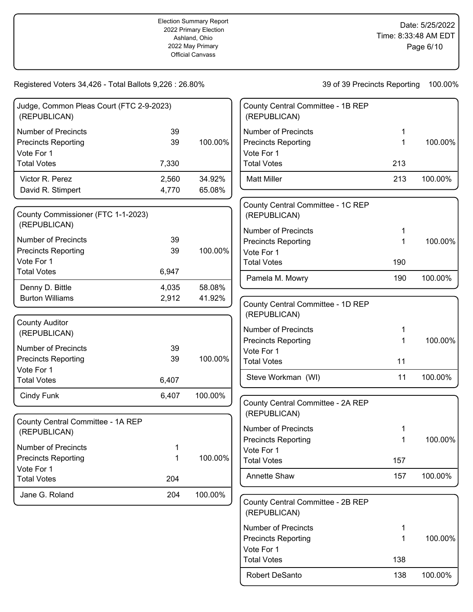Robert DeSanto 138 100.00%

| Judge, Common Pleas Court (FTC 2-9-2023)<br>(REPUBLICAN) |       |         | County Central Committee - 1B REP<br>(REPUBLICAN) |     |         |
|----------------------------------------------------------|-------|---------|---------------------------------------------------|-----|---------|
| <b>Number of Precincts</b>                               | 39    |         | <b>Number of Precincts</b>                        | 1   |         |
| <b>Precincts Reporting</b>                               | 39    | 100.00% | <b>Precincts Reporting</b>                        | 1   | 100.00% |
| Vote For 1                                               |       |         | Vote For 1                                        |     |         |
| <b>Total Votes</b>                                       | 7,330 |         | <b>Total Votes</b>                                | 213 |         |
| Victor R. Perez                                          | 2,560 | 34.92%  | <b>Matt Miller</b>                                | 213 | 100.00% |
| David R. Stimpert                                        | 4,770 | 65.08%  |                                                   |     |         |
| County Commissioner (FTC 1-1-2023)<br>(REPUBLICAN)       |       |         | County Central Committee - 1C REP<br>(REPUBLICAN) |     |         |
|                                                          |       |         | <b>Number of Precincts</b>                        | 1   |         |
| <b>Number of Precincts</b>                               | 39    | 100.00% | <b>Precincts Reporting</b>                        | 1   | 100.00% |
| <b>Precincts Reporting</b><br>Vote For 1                 | 39    |         | Vote For 1                                        |     |         |
| <b>Total Votes</b>                                       | 6,947 |         | <b>Total Votes</b>                                | 190 |         |
|                                                          |       |         | Pamela M. Mowry                                   | 190 | 100.00% |
| Denny D. Bittle                                          | 4,035 | 58.08%  |                                                   |     |         |
| <b>Burton Williams</b>                                   | 2,912 | 41.92%  | County Central Committee - 1D REP<br>(REPUBLICAN) |     |         |
| <b>County Auditor</b>                                    |       |         |                                                   |     |         |
| (REPUBLICAN)                                             |       |         | <b>Number of Precincts</b>                        | 1   |         |
| <b>Number of Precincts</b>                               | 39    |         | <b>Precincts Reporting</b>                        | 1   | 100.00% |
| <b>Precincts Reporting</b>                               | 39    | 100.00% | Vote For 1                                        |     |         |
| Vote For 1                                               |       |         | <b>Total Votes</b>                                | 11  |         |
| <b>Total Votes</b>                                       | 6,407 |         | Steve Workman (WI)                                | 11  | 100.00% |
|                                                          |       |         |                                                   |     |         |
| Cindy Funk                                               | 6,407 | 100.00% | County Central Committee - 2A REP<br>(REPUBLICAN) |     |         |
| County Central Committee - 1A REP                        |       |         | <b>Number of Precincts</b>                        | 1   |         |
| (REPUBLICAN)                                             |       |         | <b>Precincts Reporting</b>                        | 1   | 100.00% |
| <b>Number of Precincts</b>                               | 1     |         | Vote For 1                                        |     |         |
| <b>Precincts Reporting</b>                               | 1     | 100.00% | <b>Total Votes</b>                                | 157 |         |
| Vote For 1                                               |       |         |                                                   |     |         |
| <b>Total Votes</b>                                       | 204   |         | <b>Annette Shaw</b>                               | 157 | 100.00% |
| Jane G. Roland                                           | 204   | 100.00% |                                                   |     |         |
|                                                          |       |         | County Central Committee - 2B REP<br>(REPUBLICAN) |     |         |
|                                                          |       |         | <b>Number of Precincts</b>                        | 1   |         |
|                                                          |       |         | <b>Precincts Reporting</b>                        | 1   | 100.00% |
|                                                          |       |         | Vote For 1                                        |     |         |
|                                                          |       |         | <b>Total Votes</b>                                | 138 |         |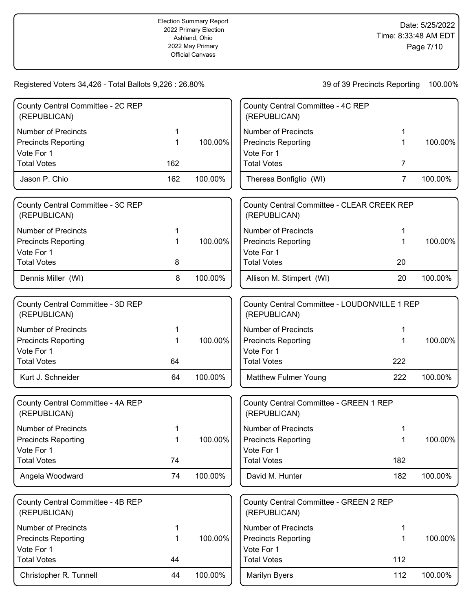| County Central Committee - 2C REP<br>(REPUBLICAN) |     |         | County Central Committee - 4C REP<br>(REPUBLICAN)            |                |         |
|---------------------------------------------------|-----|---------|--------------------------------------------------------------|----------------|---------|
| <b>Number of Precincts</b>                        | 1   |         | <b>Number of Precincts</b>                                   | 1              |         |
| <b>Precincts Reporting</b>                        | 1   | 100.00% | <b>Precincts Reporting</b>                                   | 1              | 100.00% |
| Vote For 1                                        |     |         | Vote For 1                                                   |                |         |
| <b>Total Votes</b>                                | 162 |         | <b>Total Votes</b>                                           | $\overline{7}$ |         |
| Jason P. Chio                                     | 162 | 100.00% | Theresa Bonfiglio (WI)                                       | $\overline{7}$ | 100.00% |
|                                                   |     |         |                                                              |                |         |
| County Central Committee - 3C REP<br>(REPUBLICAN) |     |         | County Central Committee - CLEAR CREEK REP<br>(REPUBLICAN)   |                |         |
| <b>Number of Precincts</b>                        | 1   |         | <b>Number of Precincts</b>                                   | 1              |         |
| <b>Precincts Reporting</b>                        | 1   | 100.00% | <b>Precincts Reporting</b>                                   | 1              | 100.00% |
| Vote For 1                                        |     |         | Vote For 1                                                   |                |         |
| <b>Total Votes</b>                                | 8   |         | <b>Total Votes</b>                                           | 20             |         |
| Dennis Miller (WI)                                | 8   | 100.00% | Allison M. Stimpert (WI)                                     | 20             | 100.00% |
|                                                   |     |         |                                                              |                |         |
| County Central Committee - 3D REP<br>(REPUBLICAN) |     |         | County Central Committee - LOUDONVILLE 1 REP<br>(REPUBLICAN) |                |         |
| <b>Number of Precincts</b>                        | 1   |         | <b>Number of Precincts</b>                                   | 1              |         |
| <b>Precincts Reporting</b>                        | 1   | 100.00% | <b>Precincts Reporting</b>                                   | 1              | 100.00% |
| Vote For 1                                        |     |         | Vote For 1                                                   |                |         |
| <b>Total Votes</b>                                | 64  |         | <b>Total Votes</b>                                           | 222            |         |
| Kurt J. Schneider                                 | 64  | 100.00% | <b>Matthew Fulmer Young</b>                                  | 222            | 100.00% |
|                                                   |     |         |                                                              |                |         |
| County Central Committee - 4A REP<br>(REPUBLICAN) |     |         | County Central Committee - GREEN 1 REP<br>(REPUBLICAN)       |                |         |
| <b>Number of Precincts</b>                        | 1   |         | <b>Number of Precincts</b>                                   |                |         |
| <b>Precincts Reporting</b>                        | 1   | 100.00% | <b>Precincts Reporting</b>                                   |                | 100.00% |
| Vote For 1                                        |     |         | Vote For 1                                                   |                |         |
| <b>Total Votes</b>                                | 74  |         | <b>Total Votes</b>                                           | 182            |         |
| Angela Woodward                                   | 74  | 100.00% | David M. Hunter                                              | 182            | 100.00% |
|                                                   |     |         |                                                              |                |         |
| County Central Committee - 4B REP<br>(REPUBLICAN) |     |         | County Central Committee - GREEN 2 REP<br>(REPUBLICAN)       |                |         |
| <b>Number of Precincts</b>                        | 1   |         | <b>Number of Precincts</b>                                   | 1              |         |
| <b>Precincts Reporting</b>                        | 1   | 100.00% | <b>Precincts Reporting</b>                                   | 1              | 100.00% |
| Vote For 1                                        |     |         | Vote For 1                                                   |                |         |
| <b>Total Votes</b>                                | 44  |         | <b>Total Votes</b>                                           | 112            |         |
| Christopher R. Tunnell                            | 44  | 100.00% | Marilyn Byers                                                | 112            | 100.00% |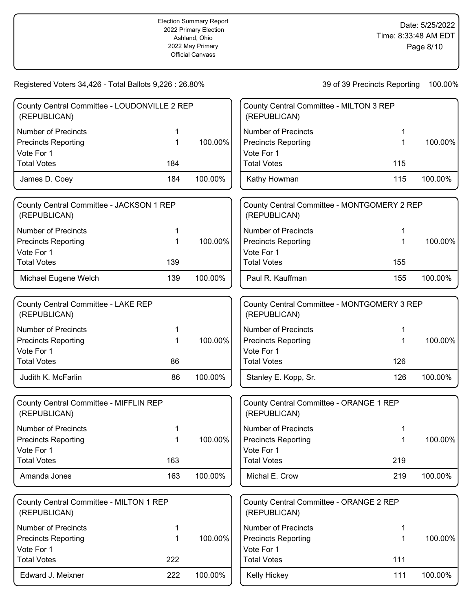| County Central Committee - LOUDONVILLE 2 REP<br>(REPUBLICAN) |     |         | County Central Committee - MILTON 3 REP<br>(REPUBLICAN)     |             |         |
|--------------------------------------------------------------|-----|---------|-------------------------------------------------------------|-------------|---------|
| <b>Number of Precincts</b>                                   | 1   |         | <b>Number of Precincts</b>                                  |             |         |
| <b>Precincts Reporting</b>                                   | 1   | 100.00% | <b>Precincts Reporting</b>                                  | $\mathbf 1$ | 100.00% |
| Vote For 1                                                   |     |         | Vote For 1                                                  |             |         |
| <b>Total Votes</b>                                           | 184 |         | <b>Total Votes</b>                                          | 115         |         |
| James D. Coey                                                | 184 | 100.00% | Kathy Howman                                                | 115         | 100.00% |
| County Central Committee - JACKSON 1 REP<br>(REPUBLICAN)     |     |         | County Central Committee - MONTGOMERY 2 REP<br>(REPUBLICAN) |             |         |
| <b>Number of Precincts</b>                                   | 1   |         | <b>Number of Precincts</b>                                  |             |         |
| <b>Precincts Reporting</b>                                   | 1   | 100.00% | <b>Precincts Reporting</b>                                  | 1           | 100.00% |
| Vote For 1                                                   |     |         | Vote For 1                                                  |             |         |
| <b>Total Votes</b>                                           | 139 |         | <b>Total Votes</b>                                          | 155         |         |
| Michael Eugene Welch                                         | 139 | 100.00% | Paul R. Kauffman                                            | 155         | 100.00% |
| County Central Committee - LAKE REP<br>(REPUBLICAN)          |     |         | County Central Committee - MONTGOMERY 3 REP<br>(REPUBLICAN) |             |         |
| <b>Number of Precincts</b>                                   | 1   |         | <b>Number of Precincts</b>                                  | 1           |         |
| <b>Precincts Reporting</b>                                   | 1   | 100.00% | <b>Precincts Reporting</b>                                  | 1           | 100.00% |
| Vote For 1                                                   |     |         | Vote For 1                                                  |             |         |
| <b>Total Votes</b>                                           | 86  |         | <b>Total Votes</b>                                          | 126         |         |
| Judith K. McFarlin                                           | 86  | 100.00% | Stanley E. Kopp, Sr.                                        | 126         | 100.00% |
| County Central Committee - MIFFLIN REP<br>(REPUBLICAN)       |     |         | County Central Committee - ORANGE 1 REP<br>(REPUBLICAN)     |             |         |
| <b>Number of Precincts</b>                                   |     |         | <b>Number of Precincts</b>                                  |             |         |
| <b>Precincts Reporting</b>                                   |     | 100.00% | <b>Precincts Reporting</b>                                  |             | 100.00% |
| Vote For 1                                                   |     |         | Vote For 1                                                  |             |         |
| <b>Total Votes</b>                                           | 163 |         | <b>Total Votes</b>                                          | 219         |         |
| Amanda Jones                                                 | 163 | 100.00% | Michal E. Crow                                              | 219         | 100.00% |
| County Central Committee - MILTON 1 REP<br>(REPUBLICAN)      |     |         | County Central Committee - ORANGE 2 REP<br>(REPUBLICAN)     |             |         |
| <b>Number of Precincts</b>                                   | 1   |         | <b>Number of Precincts</b>                                  | 1           |         |
| <b>Precincts Reporting</b>                                   | 1   | 100.00% | <b>Precincts Reporting</b>                                  | 1           | 100.00% |
| Vote For 1                                                   |     |         | Vote For 1                                                  |             |         |
| <b>Total Votes</b>                                           | 222 |         | <b>Total Votes</b>                                          | 111         |         |
| Edward J. Meixner                                            | 222 | 100.00% | Kelly Hickey                                                | 111         | 100.00% |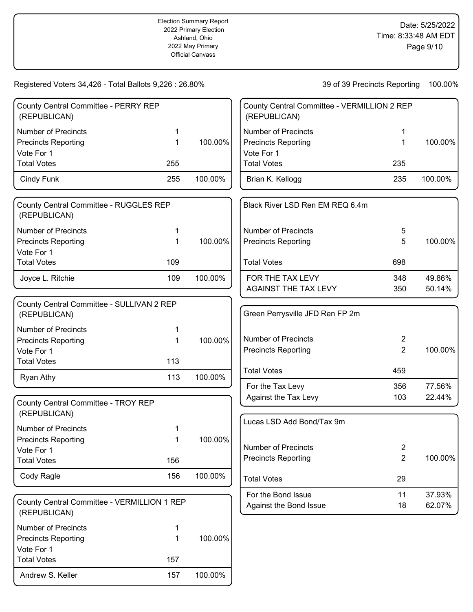# Registered Voters 34,426 - Total Ballots 9,226 : 26.80%

| 100.00%<br>39 of 39 Precincts Reporting |
|-----------------------------------------|
|-----------------------------------------|

| County Central Committee - PERRY REP<br>(REPUBLICAN) |     |         |
|------------------------------------------------------|-----|---------|
| Number of Precincts                                  | 1   |         |
| <b>Precincts Reporting</b>                           |     | 100.00% |
| Vote For 1                                           |     |         |
| <b>Total Votes</b>                                   | 255 |         |
| Cindy Funk                                           | 255 | 100.00% |
|                                                      |     |         |

| County Central Committee - RUGGLES REP<br>(REPUBLICAN) |     |         |
|--------------------------------------------------------|-----|---------|
| <b>Number of Precincts</b>                             |     |         |
| <b>Precincts Reporting</b>                             |     | 100.00% |
| Vote For 1                                             |     |         |
| <b>Total Votes</b>                                     | 109 |         |
| Joyce L. Ritchie                                       | 109 | 100.00% |

| County Central Committee - SULLIVAN 2 REP<br>(REPUBLICAN) |     |            |
|-----------------------------------------------------------|-----|------------|
| Number of Precincts                                       | 1   |            |
| <b>Precincts Reporting</b>                                | 1   | $100.00\%$ |
| Vote For 1                                                |     |            |
| <b>Total Votes</b>                                        | 113 |            |
| Ryan Athy                                                 | 113 | 100.00%    |

| County Central Committee - TROY REP<br>(REPUBLICAN) |     |         |
|-----------------------------------------------------|-----|---------|
| Number of Precincts                                 | 1   |         |
| <b>Precincts Reporting</b>                          | 1   | 100.00% |
| Vote For 1                                          |     |         |
| <b>Total Votes</b>                                  | 156 |         |
| Cody Ragle                                          | 156 | 100.00% |

| County Central Committee - VERMILLION 1 REP<br>(REPUBLICAN) |     |         |
|-------------------------------------------------------------|-----|---------|
| Number of Precincts                                         | 1   |         |
| <b>Precincts Reporting</b>                                  | 1   | 100.00% |
| Vote For 1                                                  |     |         |
| <b>Total Votes</b>                                          | 157 |         |
| Andrew S. Keller                                            | 157 | 100.00% |

| County Central Committee - VERMILLION 2 REP<br>(REPUBLICAN) |     |         |
|-------------------------------------------------------------|-----|---------|
| Number of Precincts                                         | 1   |         |
| <b>Precincts Reporting</b>                                  | 1   | 100.00% |
| Vote For 1                                                  |     |         |
| <b>Total Votes</b>                                          | 235 |         |
| Brian K. Kellogg                                            | 235 | 100.00% |

| Black River LSD Ren EM REQ 6.4m                          |            |                  |
|----------------------------------------------------------|------------|------------------|
| <b>Number of Precincts</b><br><b>Precincts Reporting</b> | 5<br>5     | 100.00%          |
| <b>Total Votes</b>                                       | 698        |                  |
| FOR THE TAX LEVY<br>AGAINST THE TAX LEVY                 | 348<br>350 | 49.86%<br>50.14% |

| Green Perrysville JFD Ren FP 2m                   |            |                  |
|---------------------------------------------------|------------|------------------|
| Number of Precincts<br><b>Precincts Reporting</b> | 2<br>2     | 100.00%          |
| <b>Total Votes</b>                                | 459        |                  |
| For the Tax Levy<br>Against the Tax Levy          | 356<br>103 | 77.56%<br>22.44% |

| Lucas LSD Add Bond/Tax 9m                         |          |                  |
|---------------------------------------------------|----------|------------------|
| Number of Precincts<br><b>Precincts Reporting</b> | 2<br>2   | 100.00%          |
| <b>Total Votes</b>                                | 29       |                  |
| For the Bond Issue<br>Against the Bond Issue      | 11<br>18 | 37.93%<br>62.07% |